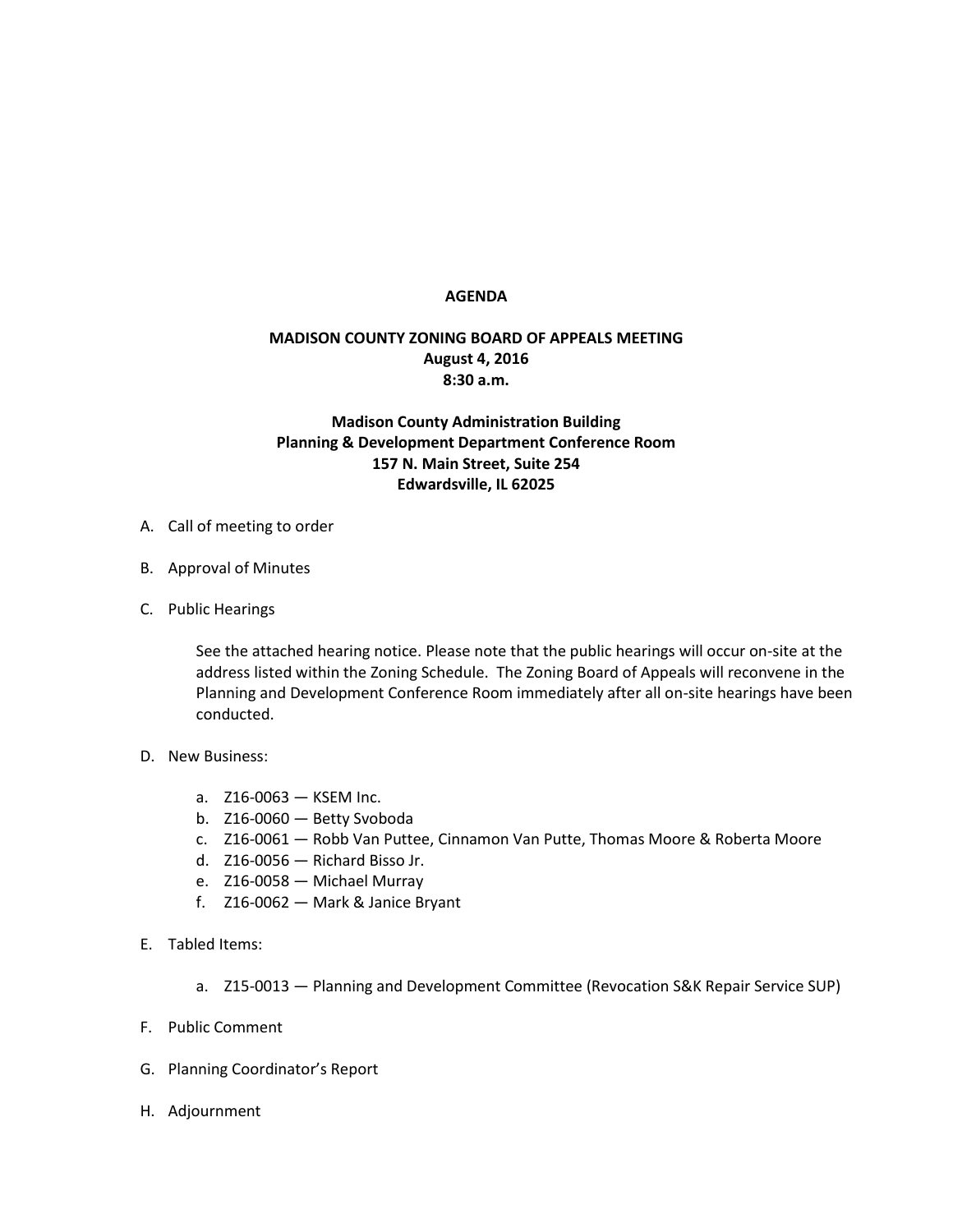## **AGENDA**

## **MADISON COUNTY ZONING BOARD OF APPEALS MEETING August 4, 2016 8:30 a.m.**

## **Madison County Administration Building Planning & Development Department Conference Room 157 N. Main Street, Suite 254 Edwardsville, IL 62025**

- A. Call of meeting to order
- B. Approval of Minutes
- C. Public Hearings

See the attached hearing notice. Please note that the public hearings will occur on-site at the address listed within the Zoning Schedule. The Zoning Board of Appeals will reconvene in the Planning and Development Conference Room immediately after all on-site hearings have been conducted.

- D. New Business:
	- a. Z16-0063 KSEM Inc.
	- b. Z16-0060 Betty Svoboda
	- c. Z16-0061 Robb Van Puttee, Cinnamon Van Putte, Thomas Moore & Roberta Moore
	- d. Z16-0056 Richard Bisso Jr.
	- e. Z16-0058 Michael Murray
	- f. Z16-0062 Mark & Janice Bryant
- E. Tabled Items:
	- a. Z15-0013 Planning and Development Committee (Revocation S&K Repair Service SUP)
- F. Public Comment
- G. Planning Coordinator's Report
- H. Adjournment